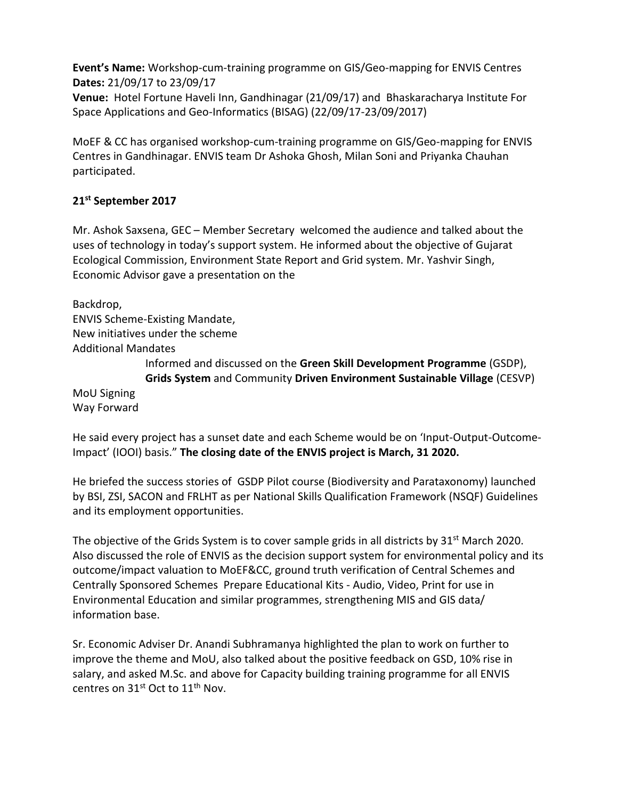**Event's Name:** Workshop-cum-training programme on GIS/Geo-mapping for ENVIS Centres **Dates:** 21/09/17 to 23/09/17

**Venue:** Hotel Fortune Haveli Inn, Gandhinagar (21/09/17) and Bhaskaracharya Institute For Space Applications and Geo-Informatics (BISAG) (22/09/17-23/09/2017)

MoEF & CC has organised workshop-cum-training programme on GIS/Geo-mapping for ENVIS Centres in Gandhinagar. ENVIS team Dr Ashoka Ghosh, Milan Soni and Priyanka Chauhan participated.

## **21st September 2017**

Mr. Ashok Saxsena, GEC – Member Secretary welcomed the audience and talked about the uses of technology in today's support system. He informed about the objective of Gujarat Ecological Commission, Environment State Report and Grid system. Mr. Yashvir Singh, Economic Advisor gave a presentation on the

Backdrop,

ENVIS Scheme-Existing Mandate, New initiatives under the scheme Additional Mandates Informed and discussed on the **Green Skill Development Programme** (GSDP), **Grids System** and Community **Driven Environment Sustainable Village** (CESVP) MoU Signing Way Forward

He said every project has a sunset date and each Scheme would be on 'Input-Output-Outcome-Impact' (IOOI) basis." **The closing date of the ENVIS project is March, 31 2020.**

He briefed the success stories of GSDP Pilot course (Biodiversity and Parataxonomy) launched by BSI, ZSI, SACON and FRLHT as per National Skills Qualification Framework (NSQF) Guidelines and its employment opportunities.

The objective of the Grids System is to cover sample grids in all districts by 31<sup>st</sup> March 2020. Also discussed the role of ENVIS as the decision support system for environmental policy and its outcome/impact valuation to MoEF&CC, ground truth verification of Central Schemes and Centrally Sponsored Schemes Prepare Educational Kits - Audio, Video, Print for use in Environmental Education and similar programmes, strengthening MIS and GIS data/ information base.

Sr. Economic Adviser Dr. Anandi Subhramanya highlighted the plan to work on further to improve the theme and MoU, also talked about the positive feedback on GSD, 10% rise in salary, and asked M.Sc. and above for Capacity building training programme for all ENVIS centres on 31<sup>st</sup> Oct to 11<sup>th</sup> Nov.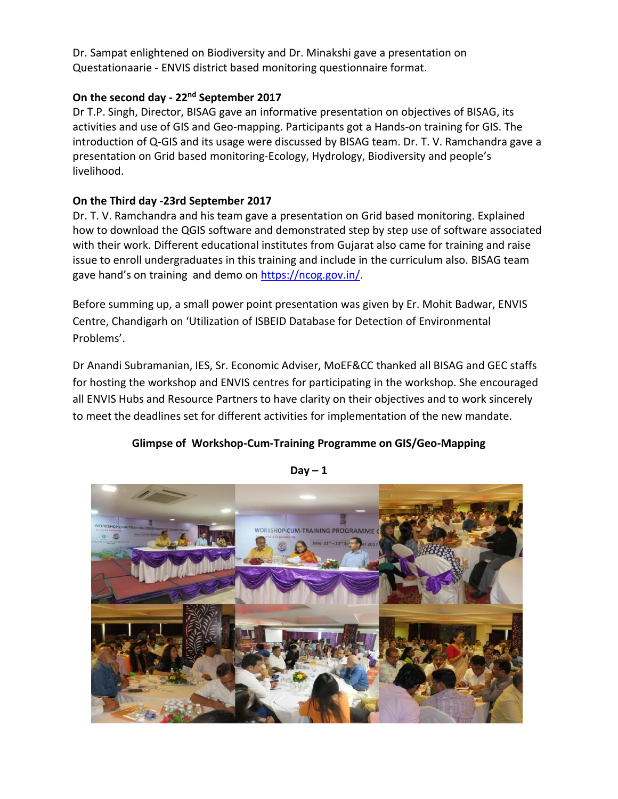Dr. Sampat enlightened on Biodiversity and Dr. Minakshi gave a presentation on Questationaarie - ENVIS district based monitoring questionnaire format.

## **On the second day - 22nd September 2017**

Dr T.P. Singh, Director, BISAG gave an informative presentation on objectives of BISAG, its activities and use of GIS and Geo-mapping. Participants got a Hands-on training for GIS. The introduction of Q-GIS and its usage were discussed by BISAG team. Dr. T. V. Ramchandra gave a presentation on Grid based monitoring-Ecology, Hydrology, Biodiversity and people's livelihood.

## **On the Third day -23rd September 2017**

Dr. T. V. Ramchandra and his team gave a presentation on Grid based monitoring. Explained how to download the QGIS software and demonstrated step by step use of software associated with their work. Different educational institutes from Gujarat also came for training and raise issue to enroll undergraduates in this training and include in the curriculum also. BISAG team gave hand's on training and demo on [https://ncog.gov.in/.](https://ncog.gov.in/)

Before summing up, a small power point presentation was given by Er. Mohit Badwar, ENVIS Centre, Chandigarh on 'Utilization of ISBEID Database for Detection of Environmental Problems'.

Dr Anandi Subramanian, IES, Sr. Economic Adviser, MoEF&CC thanked all BISAG and GEC staffs for hosting the workshop and ENVIS centres for participating in the workshop. She encouraged all ENVIS Hubs and Resource Partners to have clarity on their objectives and to work sincerely to meet the deadlines set for different activities for implementation of the new mandate.

## **Glimpse of Workshop-Cum-Training Programme on GIS/Geo-Mapping**



 $Day - 1$